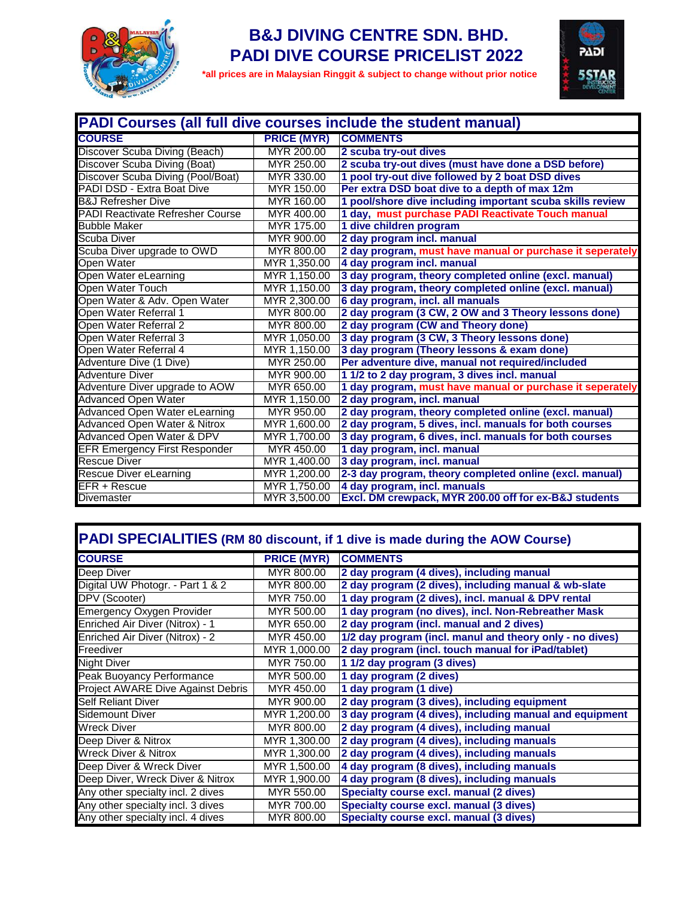

### **B&J DIVING CENTRE SDN. BHD. PADI DIVE COURSE PRICELIST 2022**

 **\*all prices are in Malaysian Ringgit & subject to change without prior notice**



| <b>PADI Courses (all full dive courses include the student manual)</b> |                    |                                                           |  |
|------------------------------------------------------------------------|--------------------|-----------------------------------------------------------|--|
| <b>COURSE</b>                                                          | <b>PRICE (MYR)</b> | <b>COMMENTS</b>                                           |  |
| Discover Scuba Diving (Beach)                                          | MYR 200.00         | 2 scuba try-out dives                                     |  |
| Discover Scuba Diving (Boat)                                           | MYR 250.00         | 2 scuba try-out dives (must have done a DSD before)       |  |
| Discover Scuba Diving (Pool/Boat)                                      | MYR 330.00         | 1 pool try-out dive followed by 2 boat DSD dives          |  |
| PADI DSD - Extra Boat Dive                                             | MYR 150.00         | Per extra DSD boat dive to a depth of max 12m             |  |
| <b>B&amp;J Refresher Dive</b>                                          | MYR 160.00         | 1 pool/shore dive including important scuba skills review |  |
| <b>PADI Reactivate Refresher Course</b>                                | MYR 400.00         | 1 day, must purchase PADI Reactivate Touch manual         |  |
| <b>Bubble Maker</b>                                                    | MYR 175.00         | 1 dive children program                                   |  |
| Scuba Diver                                                            | MYR 900.00         | 2 day program incl. manual                                |  |
| Scuba Diver upgrade to OWD                                             | MYR 800.00         | 2 day program, must have manual or purchase it seperately |  |
| <b>Open Water</b>                                                      | MYR 1,350.00       | 4 day program incl. manual                                |  |
| Open Water eLearning                                                   | MYR 1,150.00       | 3 day program, theory completed online (excl. manual)     |  |
| Open Water Touch                                                       | MYR 1,150.00       | 3 day program, theory completed online (excl. manual)     |  |
| Open Water & Adv. Open Water                                           | MYR 2,300.00       | 6 day program, incl. all manuals                          |  |
| Open Water Referral 1                                                  | MYR 800.00         | 2 day program (3 CW, 2 OW and 3 Theory lessons done)      |  |
| Open Water Referral 2                                                  | MYR 800.00         | 2 day program (CW and Theory done)                        |  |
| Open Water Referral 3                                                  | MYR 1,050.00       | 3 day program (3 CW, 3 Theory lessons done)               |  |
| Open Water Referral 4                                                  | MYR 1,150.00       | 3 day program (Theory lessons & exam done)                |  |
| Adventure Dive (1 Dive)                                                | MYR 250.00         | Per adventure dive, manual not required/included          |  |
| <b>Adventure Diver</b>                                                 | MYR 900.00         | 1 1/2 to 2 day program, 3 dives incl. manual              |  |
| Adventure Diver upgrade to AOW                                         | MYR 650.00         | 1 day program, must have manual or purchase it seperately |  |
| <b>Advanced Open Water</b>                                             | MYR 1,150.00       | 2 day program, incl. manual                               |  |
| Advanced Open Water eLearning                                          | MYR 950.00         | 2 day program, theory completed online (excl. manual)     |  |
| Advanced Open Water & Nitrox                                           | MYR 1,600.00       | 2 day program, 5 dives, incl. manuals for both courses    |  |
| <b>Advanced Open Water &amp; DPV</b>                                   | MYR 1,700.00       | 3 day program, 6 dives, incl. manuals for both courses    |  |
| <b>EFR Emergency First Responder</b>                                   | MYR 450.00         | 1 day program, incl. manual                               |  |
| <b>Rescue Diver</b>                                                    | MYR 1,400.00       | 3 day program, incl. manual                               |  |
| <b>Rescue Diver eLearning</b>                                          | MYR 1,200.00       | 2-3 day program, theory completed online (excl. manual)   |  |
| EFR + Rescue                                                           | MYR 1,750.00       | 4 day program, incl. manuals                              |  |
| Divemaster                                                             | MYR 3,500.00       | Excl. DM crewpack, MYR 200.00 off for ex-B&J students     |  |

# **PADI SPECIALITIES (RM 80 discount, if 1 dive is made during the AOW Course)**

| <b>COURSE</b>                            | <b>PRICE (MYR)</b> | <b>COMMENTS</b>                                          |
|------------------------------------------|--------------------|----------------------------------------------------------|
| Deep Diver                               | MYR 800.00         | 2 day program (4 dives), including manual                |
| Digital UW Photogr. - Part 1 & 2         | MYR 800.00         | 2 day program (2 dives), including manual & wb-slate     |
| DPV (Scooter)                            | MYR 750.00         | 1 day program (2 dives), incl. manual & DPV rental       |
| <b>Emergency Oxygen Provider</b>         | MYR 500.00         | 1 day program (no dives), incl. Non-Rebreather Mask      |
| Enriched Air Diver (Nitrox) - 1          | MYR 650.00         | 2 day program (incl. manual and 2 dives)                 |
| Enriched Air Diver (Nitrox) - 2          | MYR 450.00         | 1/2 day program (incl. manul and theory only - no dives) |
| Freediver                                | MYR 1,000.00       | 2 day program (incl. touch manual for iPad/tablet)       |
| <b>Night Diver</b>                       | MYR 750.00         | 1 1/2 day program (3 dives)                              |
| Peak Buoyancy Performance                | MYR 500.00         | 1 day program (2 dives)                                  |
| <b>Project AWARE Dive Against Debris</b> | MYR 450.00         | 1 day program (1 dive)                                   |
| <b>Self Reliant Diver</b>                | MYR 900.00         | 2 day program (3 dives), including equipment             |
| Sidemount Diver                          | MYR 1,200.00       | 3 day program (4 dives), including manual and equipment  |
| <b>Wreck Diver</b>                       | MYR 800.00         | 2 day program (4 dives), including manual                |
| Deep Diver & Nitrox                      | MYR 1,300.00       | 2 day program (4 dives), including manuals               |
| <b>Wreck Diver &amp; Nitrox</b>          | MYR 1,300.00       | 2 day program (4 dives), including manuals               |
| Deep Diver & Wreck Diver                 | MYR 1,500.00       | 4 day program (8 dives), including manuals               |
| Deep Diver, Wreck Diver & Nitrox         | MYR 1,900.00       | 4 day program (8 dives), including manuals               |
| Any other specialty incl. 2 dives        | MYR 550.00         | <b>Specialty course excl. manual (2 dives)</b>           |
| Any other specialty incl. 3 dives        | MYR 700.00         | <b>Specialty course excl. manual (3 dives)</b>           |
| Any other specialty incl. 4 dives        | MYR 800.00         | Specialty course excl. manual (3 dives)                  |